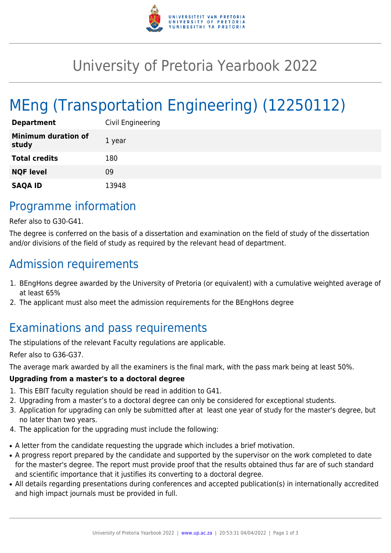

## University of Pretoria Yearbook 2022

# MEng (Transportation Engineering) (12250112)

| <b>Department</b>                   | Civil Engineering |
|-------------------------------------|-------------------|
| <b>Minimum duration of</b><br>study | 1 year            |
| <b>Total credits</b>                | 180               |
| <b>NQF level</b>                    | 09                |
| <b>SAQA ID</b>                      | 13948             |

### Programme information

Refer also to G30-G41.

The degree is conferred on the basis of a dissertation and examination on the field of study of the dissertation and/or divisions of the field of study as required by the relevant head of department.

### Admission requirements

- 1. BEngHons degree awarded by the University of Pretoria (or equivalent) with a cumulative weighted average of at least 65%
- 2. The applicant must also meet the admission requirements for the BEngHons degree

### Examinations and pass requirements

The stipulations of the relevant Faculty regulations are applicable.

Refer also to G36-G37.

The average mark awarded by all the examiners is the final mark, with the pass mark being at least 50%.

#### **Upgrading from a master's to a doctoral degree**

- 1. This EBIT faculty regulation should be read in addition to G41.
- 2. Upgrading from a master's to a doctoral degree can only be considered for exceptional students.
- 3. Application for upgrading can only be submitted after at least one year of study for the master's degree, but no later than two years.
- 4. The application for the upgrading must include the following:
- A letter from the candidate requesting the upgrade which includes a brief motivation.
- A progress report prepared by the candidate and supported by the supervisor on the work completed to date for the master's degree. The report must provide proof that the results obtained thus far are of such standard and scientific importance that it justifies its converting to a doctoral degree.
- All details regarding presentations during conferences and accepted publication(s) in internationally accredited and high impact journals must be provided in full.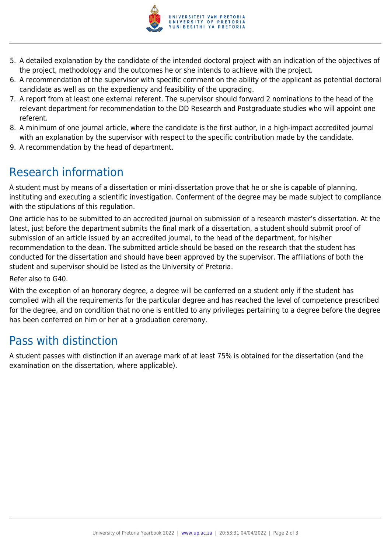

- 5. A detailed explanation by the candidate of the intended doctoral project with an indication of the objectives of the project, methodology and the outcomes he or she intends to achieve with the project.
- 6. A recommendation of the supervisor with specific comment on the ability of the applicant as potential doctoral candidate as well as on the expediency and feasibility of the upgrading.
- 7. A report from at least one external referent. The supervisor should forward 2 nominations to the head of the relevant department for recommendation to the DD Research and Postgraduate studies who will appoint one referent.
- 8. A minimum of one journal article, where the candidate is the first author, in a high-impact accredited journal with an explanation by the supervisor with respect to the specific contribution made by the candidate.
- 9. A recommendation by the head of department.

## Research information

A student must by means of a dissertation or mini-dissertation prove that he or she is capable of planning, instituting and executing a scientific investigation. Conferment of the degree may be made subject to compliance with the stipulations of this regulation.

One article has to be submitted to an accredited journal on submission of a research master's dissertation. At the latest, just before the department submits the final mark of a dissertation, a student should submit proof of submission of an article issued by an accredited journal, to the head of the department, for his/her recommendation to the dean. The submitted article should be based on the research that the student has conducted for the dissertation and should have been approved by the supervisor. The affiliations of both the student and supervisor should be listed as the University of Pretoria.

Refer also to G40.

With the exception of an honorary degree, a degree will be conferred on a student only if the student has complied with all the requirements for the particular degree and has reached the level of competence prescribed for the degree, and on condition that no one is entitled to any privileges pertaining to a degree before the degree has been conferred on him or her at a graduation ceremony.

### Pass with distinction

A student passes with distinction if an average mark of at least 75% is obtained for the dissertation (and the examination on the dissertation, where applicable).